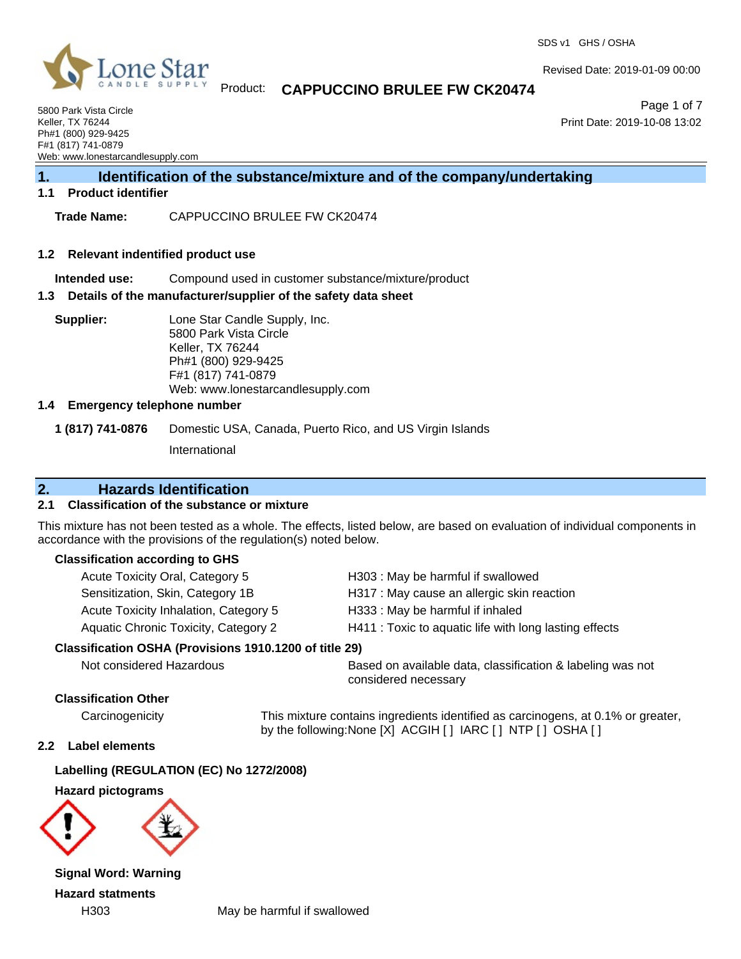

## Product: **CAPPUCCINO BRULEE FW CK20474**

5800 Park Vista Circle Keller, TX 76244 Ph#1 (800) 929-9425 F#1 (817) 741-0879 Web: www.lonestarcandlesupply.com

Page 1 of 7 Print Date: 2019-10-08 13:02

Revised Date: 2019-01-09 00:00

## **1. Identification of the substance/mixture and of the company/undertaking**

## **1.1 Product identifier**

**Trade Name:** CAPPUCCINO BRULEE FW CK20474

#### **1.2 Relevant indentified product use**

**Intended use:** Compound used in customer substance/mixture/product

### **1.3 Details of the manufacturer/supplier of the safety data sheet**

**Supplier:** Lone Star Candle Supply, Inc. 5800 Park Vista Circle Keller, TX 76244 Ph#1 (800) 929-9425 F#1 (817) 741-0879 Web: www.lonestarcandlesupply.com

### **1.4 Emergency telephone number**

**1 (817) 741-0876** Domestic USA, Canada, Puerto Rico, and US Virgin Islands

International

## **2. Hazards Identification**

### **2.1 Classification of the substance or mixture**

This mixture has not been tested as a whole. The effects, listed below, are based on evaluation of individual components in accordance with the provisions of the regulation(s) noted below.

### **Classification according to GHS**

| Acute Toxicity Oral, Category 5                        | H303: May be harmful if swallowed                      |
|--------------------------------------------------------|--------------------------------------------------------|
| Sensitization, Skin, Category 1B                       | H317 : May cause an allergic skin reaction             |
| Acute Toxicity Inhalation, Category 5                  | H333: May be harmful if inhaled                        |
| <b>Aquatic Chronic Toxicity, Category 2</b>            | H411 : Toxic to aquatic life with long lasting effects |
| Classification OSHA (Provisions 1910.1200 of title 29) |                                                        |
| Not considered Hererdaus                               | Rosed on ovailable data, elegationien 8 labeling u     |

Not considered Hazardous Based on available data, classification & labeling was not considered necessary

## **Classification Other**

Carcinogenicity This mixture contains ingredients identified as carcinogens, at 0.1% or greater, by the following:None [X] ACGIH [ ] IARC [ ] NTP [ ] OSHA [ ]

## **2.2 Label elements**

**Labelling (REGULATION (EC) No 1272/2008)**

### **Hazard pictograms**



**Signal Word: Warning Hazard statments**

H303 May be harmful if swallowed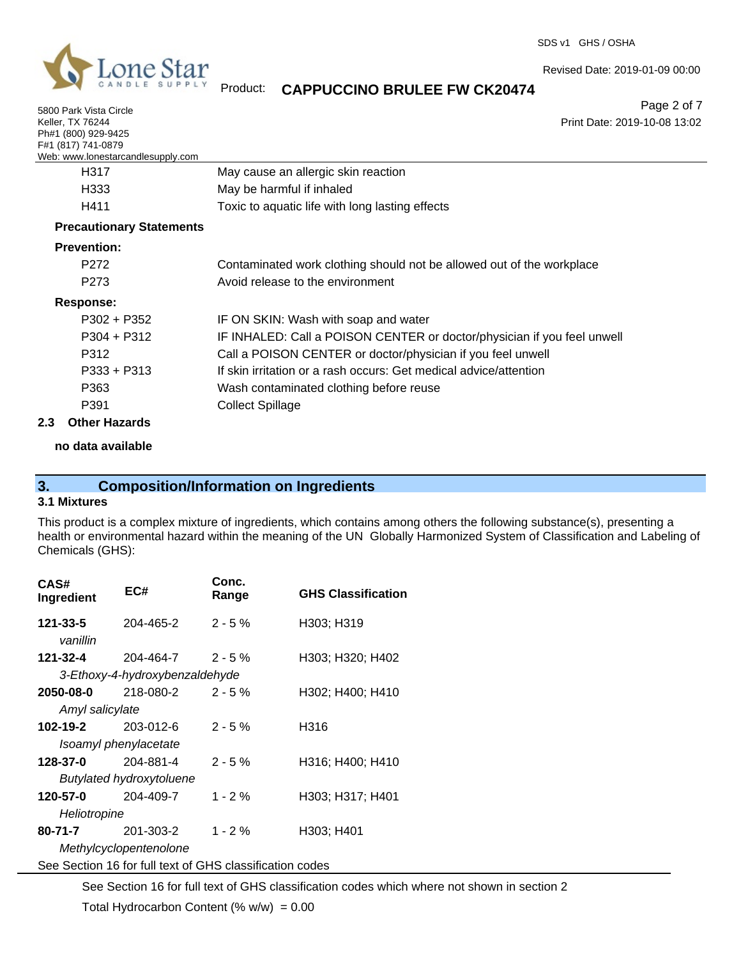

5800 Park Vista Circle

SDS v1 GHS / OSHA

Revised Date: 2019-01-09 00:00

Product: **CAPPUCCINO BRULEE FW CK20474**

Page 2 of 7

| Keller, TX 76244                  | Print Date: 2019-10-08 13:02                                            |
|-----------------------------------|-------------------------------------------------------------------------|
| Ph#1 (800) 929-9425               |                                                                         |
| F#1 (817) 741-0879                |                                                                         |
| Web: www.lonestarcandlesupply.com |                                                                         |
| H317                              | May cause an allergic skin reaction                                     |
| H333                              | May be harmful if inhaled                                               |
| H411                              | Toxic to aquatic life with long lasting effects                         |
| <b>Precautionary Statements</b>   |                                                                         |
| <b>Prevention:</b>                |                                                                         |
| P272                              | Contaminated work clothing should not be allowed out of the workplace   |
| P <sub>273</sub>                  | Avoid release to the environment                                        |
| Response:                         |                                                                         |
| $P302 + P352$                     | IF ON SKIN: Wash with soap and water                                    |
| $P304 + P312$                     | IF INHALED: Call a POISON CENTER or doctor/physician if you feel unwell |
| P312                              | Call a POISON CENTER or doctor/physician if you feel unwell             |
| $P333 + P313$                     | If skin irritation or a rash occurs: Get medical advice/attention       |
| P363                              | Wash contaminated clothing before reuse                                 |
| P391                              | <b>Collect Spillage</b>                                                 |

### **2.3 Other Hazards**

## **no data available**

# **3. Composition/Information on Ingredients**

## **3.1 Mixtures**

This product is a complex mixture of ingredients, which contains among others the following substance(s), presenting a health or environmental hazard within the meaning of the UN Globally Harmonized System of Classification and Labeling of Chemicals (GHS):

| CAS#<br>Ingredient       | EC#                                                      | Conc.<br>Range | <b>GHS Classification</b> |  |
|--------------------------|----------------------------------------------------------|----------------|---------------------------|--|
| 121-33-5<br>vanillin     | 204-465-2                                                | $2 - 5%$       | H303; H319                |  |
| 121-32-4                 | 204-464-7                                                | $2 - 5\%$      | H303; H320; H402          |  |
|                          | 3-Ethoxy-4-hydroxybenzaldehyde                           |                |                           |  |
| 2050-08-0                | 218-080-2                                                | $2 - 5%$       | H302; H400; H410          |  |
| Amyl salicylate          |                                                          |                |                           |  |
| 102-19-2                 | 203-012-6                                                | $2 - 5%$       | H316                      |  |
| Isoamyl phenylacetate    |                                                          |                |                           |  |
| 128-37-0                 | 204-881-4                                                | $2 - 5 \%$     | H316; H400; H410          |  |
| Butylated hydroxytoluene |                                                          |                |                           |  |
| 120-57-0                 | 204-409-7                                                | $1 - 2%$       | H303; H317; H401          |  |
| Heliotropine             |                                                          |                |                           |  |
| 80-71-7                  | 201-303-2                                                | $1 - 2%$       | H303; H401                |  |
| Methylcyclopentenolone   |                                                          |                |                           |  |
|                          | See Section 16 for full text of GHS classification codes |                |                           |  |

See Section 16 for full text of GHS classification codes which where not shown in section 2

Total Hydrocarbon Content (%  $w/w$ ) = 0.00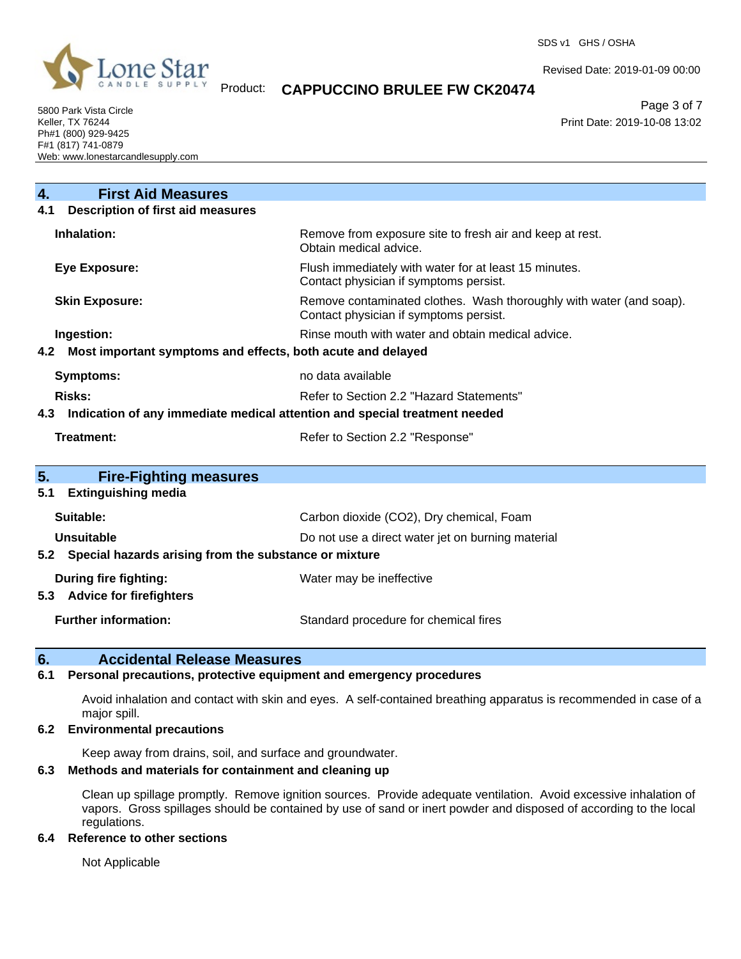

Revised Date: 2019-01-09 00:00

## Product: **CAPPUCCINO BRULEE FW CK20474**

Page 3 of 7 Print Date: 2019-10-08 13:02

5800 Park Vista Circle Keller, TX 76244 Ph#1 (800) 929-9425 F#1 (817) 741-0879 Web: www.lonestarcandlesupply.com

| <b>First Aid Measures</b><br>4.                                                   |                                                                                                               |  |  |
|-----------------------------------------------------------------------------------|---------------------------------------------------------------------------------------------------------------|--|--|
| <b>Description of first aid measures</b><br>4.1                                   |                                                                                                               |  |  |
| Inhalation:                                                                       | Remove from exposure site to fresh air and keep at rest.<br>Obtain medical advice.                            |  |  |
| <b>Eye Exposure:</b>                                                              | Flush immediately with water for at least 15 minutes.<br>Contact physician if symptoms persist.               |  |  |
| <b>Skin Exposure:</b>                                                             | Remove contaminated clothes. Wash thoroughly with water (and soap).<br>Contact physician if symptoms persist. |  |  |
| Ingestion:                                                                        | Rinse mouth with water and obtain medical advice.                                                             |  |  |
| Most important symptoms and effects, both acute and delayed<br>4.2                |                                                                                                               |  |  |
| <b>Symptoms:</b>                                                                  | no data available                                                                                             |  |  |
| Risks:                                                                            | Refer to Section 2.2 "Hazard Statements"                                                                      |  |  |
| Indication of any immediate medical attention and special treatment needed<br>4.3 |                                                                                                               |  |  |
| Treatment:                                                                        | Refer to Section 2.2 "Response"                                                                               |  |  |
| 5.<br><b>Fire-Fighting measures</b>                                               |                                                                                                               |  |  |
| <b>Extinguishing media</b><br>5.1                                                 |                                                                                                               |  |  |
| Suitable:                                                                         | Carbon dioxide (CO2), Dry chemical, Foam                                                                      |  |  |
| Unsuitable                                                                        | Do not use a direct water jet on burning material                                                             |  |  |
| 5.2 Special hazards arising from the substance or mixture                         |                                                                                                               |  |  |
| During fire fighting:                                                             | Water may be ineffective                                                                                      |  |  |
| <b>Advice for firefighters</b><br>5.3                                             |                                                                                                               |  |  |
| <b>Further information:</b>                                                       | Standard procedure for chemical fires                                                                         |  |  |

## **6. Accidental Release Measures**

## **6.1 Personal precautions, protective equipment and emergency procedures**

Avoid inhalation and contact with skin and eyes. A self-contained breathing apparatus is recommended in case of a major spill.

## **6.2 Environmental precautions**

Keep away from drains, soil, and surface and groundwater.

### **6.3 Methods and materials for containment and cleaning up**

Clean up spillage promptly. Remove ignition sources. Provide adequate ventilation. Avoid excessive inhalation of vapors. Gross spillages should be contained by use of sand or inert powder and disposed of according to the local regulations.

## **6.4 Reference to other sections**

Not Applicable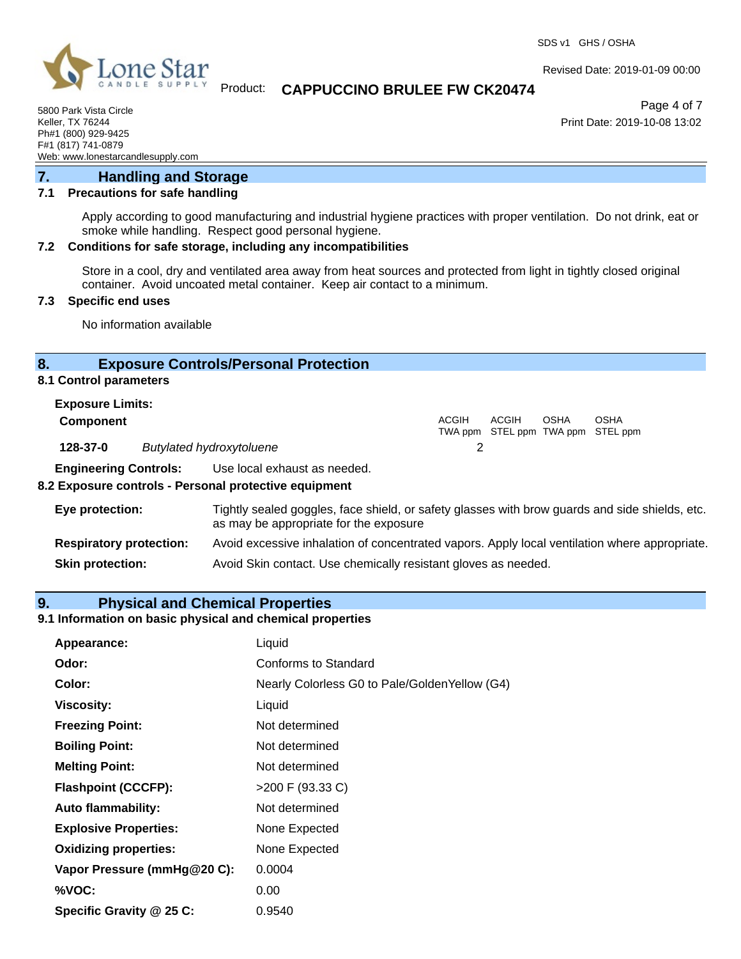

Revised Date: 2019-01-09 00:00

## Product: **CAPPUCCINO BRULEE FW CK20474**

Page 4 of 7 Print Date: 2019-10-08 13:02

5800 Park Vista Circle Keller, TX 76244 Ph#1 (800) 929-9425 F#1 (817) 741-0879 Web: www.lonestarcandlesupply.com

## **7. Handling and Storage**

## **7.1 Precautions for safe handling**

Apply according to good manufacturing and industrial hygiene practices with proper ventilation. Do not drink, eat or smoke while handling. Respect good personal hygiene.

## **7.2 Conditions for safe storage, including any incompatibilities**

Store in a cool, dry and ventilated area away from heat sources and protected from light in tightly closed original container. Avoid uncoated metal container. Keep air contact to a minimum.

## **7.3 Specific end uses**

No information available

## **8. Exposure Controls/Personal Protection**

## **8.1 Control parameters**

| <b>Exposure Limits:</b>      |                                 |       |              |      |                                                  |  |
|------------------------------|---------------------------------|-------|--------------|------|--------------------------------------------------|--|
| <b>Component</b>             |                                 | ACGIH | <b>ACGIH</b> | OSHA | <b>OSHA</b><br>TWA ppm STEL ppm TWA ppm STEL ppm |  |
| 128-37-0                     | <b>Butylated hydroxytoluene</b> |       |              |      |                                                  |  |
| <b>Engineering Controls:</b> | Use local exhaust as needed.    |       |              |      |                                                  |  |

## **8.2 Exposure controls - Personal protective equipment**

| Eye protection:                | Tightly sealed goggles, face shield, or safety glasses with brow guards and side shields, etc.<br>as may be appropriate for the exposure |
|--------------------------------|------------------------------------------------------------------------------------------------------------------------------------------|
| <b>Respiratory protection:</b> | Avoid excessive inhalation of concentrated vapors. Apply local ventilation where appropriate.                                            |
| <b>Skin protection:</b>        | Avoid Skin contact. Use chemically resistant gloves as needed.                                                                           |

## **9. Physical and Chemical Properties**

## **9.1 Information on basic physical and chemical properties**

| Appearance:                  | Liquid                                         |
|------------------------------|------------------------------------------------|
| Odor:                        | Conforms to Standard                           |
| Color:                       | Nearly Colorless G0 to Pale/Golden Yellow (G4) |
| <b>Viscosity:</b>            | Liquid                                         |
| <b>Freezing Point:</b>       | Not determined                                 |
| <b>Boiling Point:</b>        | Not determined                                 |
| <b>Melting Point:</b>        | Not determined                                 |
| <b>Flashpoint (CCCFP):</b>   | >200 F (93.33 C)                               |
| <b>Auto flammability:</b>    | Not determined                                 |
| <b>Explosive Properties:</b> | None Expected                                  |
| <b>Oxidizing properties:</b> | None Expected                                  |
| Vapor Pressure (mmHg@20 C):  | 0.0004                                         |
| %VOC:                        | 0.00                                           |
| Specific Gravity @ 25 C:     | 0.9540                                         |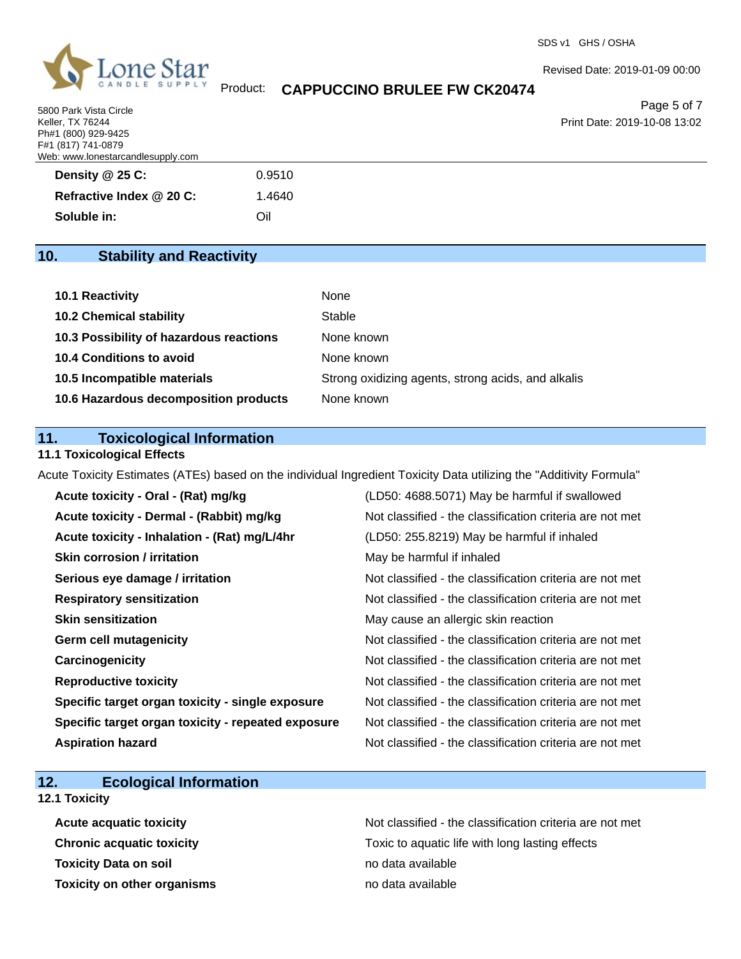

## Product: **CAPPUCCINO BRULEE FW CK20474**

Revised Date: 2019-01-09 00:00

Page 5 of 7 Print Date: 2019-10-08 13:02

5800 Park Vista Circle Keller, TX 76244 Ph#1 (800) 929-9425 F#1 (817) 741-0879 Web: www.lonestarcandlesupply.com

| Density @ 25 C:          | 0.9510 |
|--------------------------|--------|
| Refractive Index @ 20 C: | 1.4640 |
| Soluble in:              | Oil    |

| 10. | <b>Stability and Reactivity</b> |  |
|-----|---------------------------------|--|
|-----|---------------------------------|--|

| 10.1 Reactivity                         | None                                               |
|-----------------------------------------|----------------------------------------------------|
| <b>10.2 Chemical stability</b>          | Stable                                             |
| 10.3 Possibility of hazardous reactions | None known                                         |
| <b>10.4 Conditions to avoid</b>         | None known                                         |
| 10.5 Incompatible materials             | Strong oxidizing agents, strong acids, and alkalis |
| 10.6 Hazardous decomposition products   | None known                                         |

## **11. Toxicological Information**

**11.1 Toxicological Effects**

Acute Toxicity Estimates (ATEs) based on the individual Ingredient Toxicity Data utilizing the "Additivity Formula"

| Acute toxicity - Oral - (Rat) mg/kg                | (LD50: 4688.5071) May be harmful if swallowed            |
|----------------------------------------------------|----------------------------------------------------------|
| Acute toxicity - Dermal - (Rabbit) mg/kg           | Not classified - the classification criteria are not met |
| Acute toxicity - Inhalation - (Rat) mg/L/4hr       | (LD50: 255.8219) May be harmful if inhaled               |
| <b>Skin corrosion / irritation</b>                 | May be harmful if inhaled                                |
| Serious eye damage / irritation                    | Not classified - the classification criteria are not met |
| <b>Respiratory sensitization</b>                   | Not classified - the classification criteria are not met |
| <b>Skin sensitization</b>                          | May cause an allergic skin reaction                      |
| <b>Germ cell mutagenicity</b>                      | Not classified - the classification criteria are not met |
| Carcinogenicity                                    | Not classified - the classification criteria are not met |
| <b>Reproductive toxicity</b>                       | Not classified - the classification criteria are not met |
| Specific target organ toxicity - single exposure   | Not classified - the classification criteria are not met |
| Specific target organ toxicity - repeated exposure | Not classified - the classification criteria are not met |
| <b>Aspiration hazard</b>                           | Not classified - the classification criteria are not met |

## **12. Ecological Information**

**12.1 Toxicity**

**Toxicity Data on soil no data available no data available Toxicity on other organisms no data available** 

Acute acquatic toxicity **Acute acquatic toxicity** Not classified - the classification criteria are not met **Chronic acquatic toxicity Toxic to aquatic life with long lasting effects**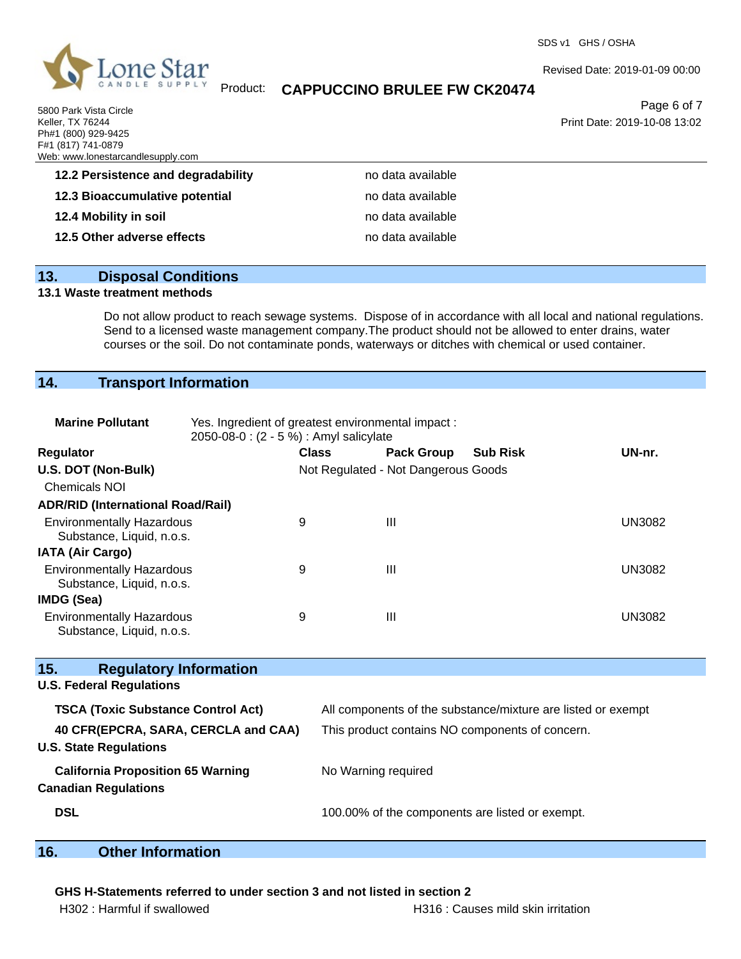

5800 Park Vista Circle Keller, TX 76244 Ph#1 (800) 929-9425

SDS v1 GHS / OSHA

## Product: **CAPPUCCINO BRULEE FW CK20474**

Page 6 of 7

Revised Date: 2019-01-09 00:00

Print Date: 2019-10-08 13:02

| F#1 (817) 741-0879<br>Web: www.lonestarcandlesupply.com |                   |  |
|---------------------------------------------------------|-------------------|--|
| 12.2 Persistence and degradability                      | no data available |  |
| 12.3 Bioaccumulative potential                          | no data available |  |
| 12.4 Mobility in soil                                   | no data available |  |
| 12.5 Other adverse effects                              | no data available |  |
|                                                         |                   |  |

# **13. Disposal Conditions**

## **13.1 Waste treatment methods**

Do not allow product to reach sewage systems. Dispose of in accordance with all local and national regulations. Send to a licensed waste management company.The product should not be allowed to enter drains, water courses or the soil. Do not contaminate ponds, waterways or ditches with chemical or used container.

## **14. Transport Information**

| <b>Marine Pollutant</b>                                                 | Yes. Ingredient of greatest environmental impact:<br>2050-08-0 : (2 - 5 %) : Amyl salicylate |                                                              |                                     |                 |               |
|-------------------------------------------------------------------------|----------------------------------------------------------------------------------------------|--------------------------------------------------------------|-------------------------------------|-----------------|---------------|
| Regulator                                                               |                                                                                              | <b>Class</b>                                                 | <b>Pack Group</b>                   | <b>Sub Risk</b> | UN-nr.        |
| U.S. DOT (Non-Bulk)                                                     |                                                                                              |                                                              | Not Regulated - Not Dangerous Goods |                 |               |
| <b>Chemicals NOI</b>                                                    |                                                                                              |                                                              |                                     |                 |               |
| <b>ADR/RID (International Road/Rail)</b>                                |                                                                                              |                                                              |                                     |                 |               |
| <b>Environmentally Hazardous</b><br>Substance, Liquid, n.o.s.           | 9                                                                                            |                                                              | III                                 |                 | <b>UN3082</b> |
| <b>IATA (Air Cargo)</b>                                                 |                                                                                              |                                                              |                                     |                 |               |
| <b>Environmentally Hazardous</b><br>Substance, Liquid, n.o.s.           | 9                                                                                            |                                                              | $\mathbf{III}$                      |                 | <b>UN3082</b> |
| <b>IMDG (Sea)</b>                                                       |                                                                                              |                                                              |                                     |                 |               |
| <b>Environmentally Hazardous</b><br>Substance, Liquid, n.o.s.           | 9                                                                                            |                                                              | $\mathbf{III}$                      |                 | <b>UN3082</b> |
| 15.<br><b>Regulatory Information</b>                                    |                                                                                              |                                                              |                                     |                 |               |
| <b>U.S. Federal Regulations</b>                                         |                                                                                              |                                                              |                                     |                 |               |
| <b>TSCA (Toxic Substance Control Act)</b>                               |                                                                                              | All components of the substance/mixture are listed or exempt |                                     |                 |               |
| 40 CFR(EPCRA, SARA, CERCLA and CAA)<br><b>U.S. State Regulations</b>    |                                                                                              | This product contains NO components of concern.              |                                     |                 |               |
| <b>California Proposition 65 Warning</b><br><b>Canadian Regulations</b> |                                                                                              | No Warning required                                          |                                     |                 |               |
| <b>DSL</b>                                                              |                                                                                              | 100.00% of the components are listed or exempt.              |                                     |                 |               |

# **16. Other Information**

### **GHS H-Statements referred to under section 3 and not listed in section 2**